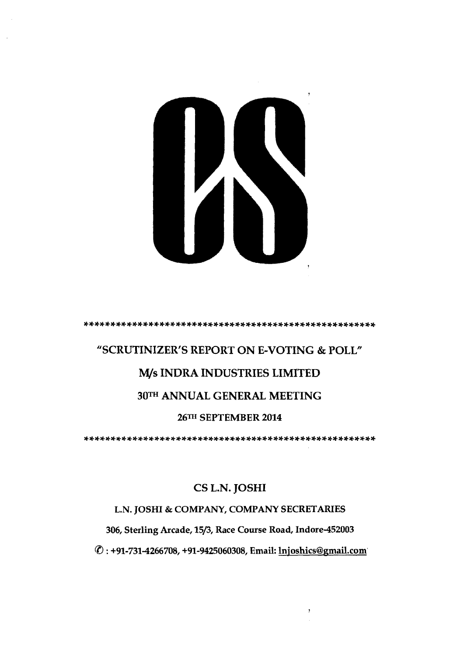

# **"SCRUTINIZER'S REPORT ON E-VOTING** & **POLL"**  *M/s* **INDRA INDUSTRIES LIMITED 30TH ANNUAL GENERAL MEETING 26m SEPTEMBER 2014**

.......................................................

# *CS* **L.N. JOSHI**

# **L.N. JOSHI** & **COMPANY, COMPANY SECRETARIES**

**306, Sterling Arcade, 1513, Race Course Road, Indore-452003** 

@ : **+91-731-4266708, +91-9425060308, Email: lnjoshics@gmail.com**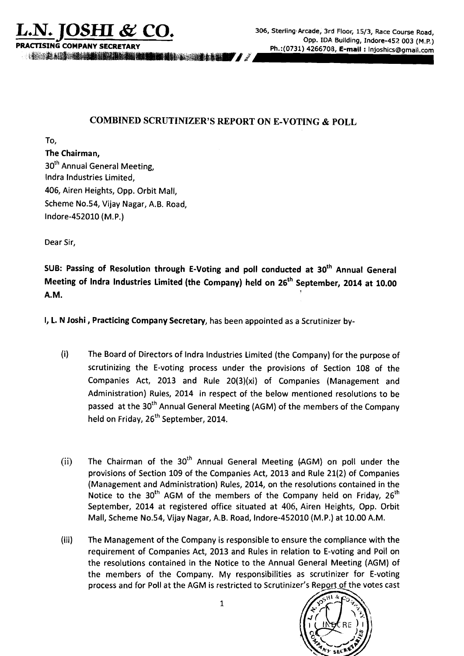IX A CONTRACTOR COMPANY AND DESCRIPTION OF REAL PROPERTY.

# **COMBINED SCRUTINIZER'S REPORT ON E-VOTING** & **POLL**

To,

#### **'the Chairman,**

30<sup>th</sup> Annual General Meeting, lndra lndustries Limited, 406, Airen Heights, Opp. Orbit Mall, Scheme No.54, Vijay Nagar, A.B. Road, lndore-452010 (M.P.)

Dear Sir,

**SUB: Passing of Resolution through E-Voting and poll conducted at 3oth Annual General Meeting of lndra lndustries Limited (the Company) held on 26th September, 2014 at 10.00 A.M. <sup>1</sup>**

I, **L.** N **Joshi, Practicing Company Secretary,** has been appointed as a Scrutinizer by-

- (i) The Board of Directors of lndra lndustries Limited (the Company) for the purpose of scrutinizing the E-voting process under the provisions of Section 108 of the Companies Act, 2013 and Rule 20(3)(xi) of Companies (Management and Administration) Rules, 2014 in respect of the below mentioned resolutions to be passed at the 30<sup>th</sup> Annual General Meeting (AGM) of the members of the Company held on Friday, 26<sup>th</sup> September, 2014.
- (ii) The Chairman of the  $30<sup>th</sup>$  Annual General Meeting (AGM) on poll under the provisions of Section 109 of the Companies Act, 2013 and Rule 21(2) of Companies (Management and Administration) Rules, 2014, on the resolutions; contained in the Notice to the 30<sup>th</sup> AGM of the members of the Company held on Friday,  $26<sup>th</sup>$ September, 2014 at registered office situated at 406, Airen Heights, Opp. Orbit Mall, Scheme No.54, Vijay Nagar, A.B. Road, lndore-452010 (M.P.) at 10.00 A.M.
- (iii) The Management of the Company is responsible to ensure the cornpliance with the requirement of Companies Act, 2013 and Rules in relation to E-voting and Poll on the resolutions contained in the Notice to the Annual General Meeting (AGM) of the members of the Company. My responsibilities as scrutinizer for E-voting process and for Poll at the AGM is restricted to Scrutinizer's Report of the votes cast



**1**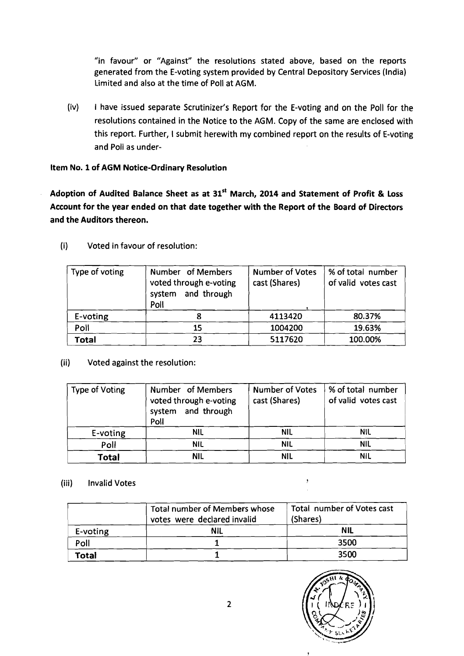"in favour" or "Against" the resolutions stated above, based on the reports generated from the E-voting system provided by Central Depository Services (India) Limited and also at the time of Poll at AGM.

(iv) I have issued separate Scrutinizer's Report for the E-voting and on the Poll for the resolutions contained in the Notice to the AGM. Copy of the same are enclosed with this report. Further, I submit herewith my combined report on the results of E-voting and Poll as under-

**Item No. 1 of AGM Notice-Ordinary Resolution** 

**Adoption of Audited Balance Sheet as at 31" March, 2014 and Statement of Profit** & **Loss Account for the year ended on that date together with the Report of the Board of Directors and the Auditors thereon.** 

| Type of voting | Number of Members<br>voted through e-voting<br>system and through<br>Poll | <b>Number of Votes</b><br>cast (Shares) | % of total number<br>of valid votes cast |
|----------------|---------------------------------------------------------------------------|-----------------------------------------|------------------------------------------|
| E-voting       |                                                                           | 4113420                                 | 80.37%                                   |
| Poll           | 15                                                                        | 1004200                                 | 19.63%                                   |
| <b>Total</b>   | 23                                                                        | 5117620                                 | 100.00%                                  |

(i) Voted in favour of resolution:

| <b>Type of Voting</b> | Number of Members<br>voted through e-voting<br>system and through<br>Poll | <b>Number of Votes</b><br>cast (Shares) | % of total number<br>of valid votes cast |
|-----------------------|---------------------------------------------------------------------------|-----------------------------------------|------------------------------------------|
| E-voting              | <b>NIL</b>                                                                | <b>NIL</b>                              | NIL                                      |
| Poll                  | <b>NIL</b>                                                                | <b>NIL</b>                              | <b>NIL</b>                               |
| <b>Total</b>          | <b>NIL</b>                                                                | <b>NIL</b>                              | <b>NIL</b>                               |

(ii) Voted against the resolution:

#### (iii) Invalid Votes

|          | <b>Total number of Members whose</b><br>votes were declared invalid | Total number of Votes cast<br>(Shares) |
|----------|---------------------------------------------------------------------|----------------------------------------|
| E-voting | <b>NIL</b>                                                          | <b>NIL</b>                             |
| Poll     |                                                                     | 3500                                   |
| Total    |                                                                     | 3500                                   |

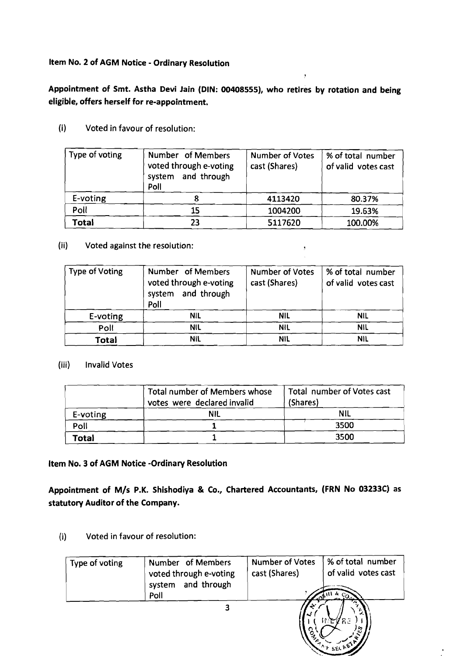## **Item No. 2 of AGM Notice** - **Ordinary Resolution**

**Appointment of Smt. Astha Devi Jain (DIN: 00408555), who retires by rotation and being eligible, offers herself for re-appointment.** 

 $\mathbf{r}$ 

(i) Voted in favour of resolution:

| Type of voting | Number of Members<br>voted through e-voting<br>system and through<br>Poll | <b>Number of Votes</b><br>cast (Shares) | % of total number<br>of valid votes cast |
|----------------|---------------------------------------------------------------------------|-----------------------------------------|------------------------------------------|
| E-voting       |                                                                           | 4113420                                 | 80.37%                                   |
| Poll           | 15                                                                        | 1004200                                 | 19.63%                                   |
| Total          | 23                                                                        | 5117620                                 | 100.00%                                  |

(ii) Voted against the resolution: **<sup>l</sup>**

| <b>Type of Voting</b> | Number of Members<br>voted through e-voting<br>system and through<br>Poll | <b>Number of Votes</b><br>cast (Shares) | % of total number<br>of valid votes cast |
|-----------------------|---------------------------------------------------------------------------|-----------------------------------------|------------------------------------------|
| E-voting              | <b>NIL</b>                                                                | <b>NIL</b>                              | <b>NIL</b>                               |
| Poll                  | <b>NIL</b>                                                                | <b>NIL</b>                              | <b>NIL</b>                               |
| Total                 | <b>NIL</b>                                                                | <b>NIL</b>                              | <b>NIL</b>                               |

## (iii) Invalid Votes

|          | Total number of Members whose<br>votes were declared invalid | Total number of Votes cast<br>(Shares) |
|----------|--------------------------------------------------------------|----------------------------------------|
| E-voting | <b>NIL</b>                                                   |                                        |
| Poll     |                                                              | 3500                                   |
| Total    |                                                              | 3500                                   |

# **Item No. 3 of AGM Notice -Ordinary Resolution**

**Appointment of M/s P.K. Shishodiya** & **Co., Chartered Accountants, (FRN No 03233C) as statutory Auditor of the Company.** 

**(i)** Voted in favour of resolution:

| Type of voting | Number of Members<br>voted through e-voting<br>system and through<br>Poll | <b>Number of Votes</b><br>cast (Shares)<br>ັດ⊅ | % of total number<br>of valid votes cast |
|----------------|---------------------------------------------------------------------------|------------------------------------------------|------------------------------------------|
|                | 3                                                                         | $\mathbf{J}$<br>႙<br>Ъ.                        | WZRz<br>n<br>$\cdot$ SEL KE              |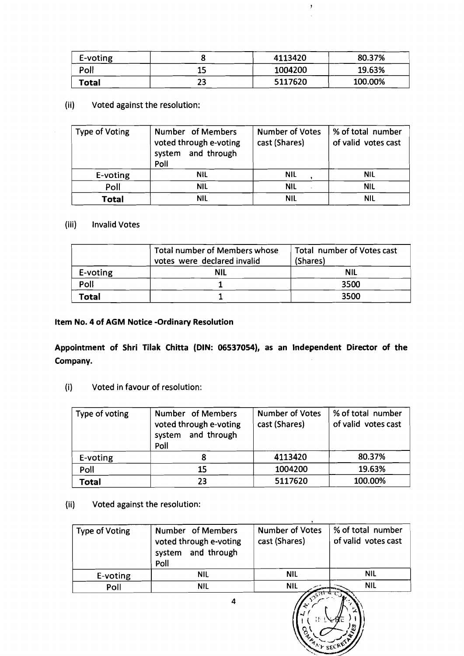| E-voting |     | 4113420 | 80.37%  |
|----------|-----|---------|---------|
| Poll     | 1 F | 1004200 | 19.63%  |
| Total    | 23  | 5117620 | 100.00% |

 $\bar{z}$ 

# (ii) Voted against the resolution:

| <b>Type of Voting</b> | Number of Members<br>voted through e-voting<br>system and through<br>Poll | <b>Number of Votes</b><br>cast (Shares) | % of total number<br>of valid votes cast |
|-----------------------|---------------------------------------------------------------------------|-----------------------------------------|------------------------------------------|
| E-voting              | <b>NIL</b>                                                                | <b>NIL</b>                              | <b>NIL</b>                               |
| Poll                  | <b>NIL</b>                                                                | <b>NIL</b>                              | <b>NIL</b>                               |
| <b>Total</b>          | NIL                                                                       | NIL                                     | <b>NIL</b>                               |

#### (iii) Invalid Votes

|          | Total number of Members whose<br>votes were declared invalid | Total number of Votes cast<br>(Shares) |
|----------|--------------------------------------------------------------|----------------------------------------|
| E-voting | NIL                                                          | <b>NIL</b>                             |
| Poll     |                                                              | 3500                                   |
| Total    |                                                              | 3500                                   |

# **Item No. 4 of AGM Notice -Ordinary Resolution**

**Appointment of Shri Tilak Chitta (DIN: 06537054), as an Independent Director of the Company.** 

(i) Voted in favour of resolution:

| Type of voting | Number of Members<br>voted through e-voting<br>system and through<br>Poll | <b>Number of Votes</b><br>cast (Shares) | % of total number<br>of valid votes cast |
|----------------|---------------------------------------------------------------------------|-----------------------------------------|------------------------------------------|
| E-voting       |                                                                           | 4113420                                 | 80.37%                                   |
| Poll           | 15                                                                        | 1004200                                 | 19.63%                                   |
| Total          | 23                                                                        | 5117620                                 | 100.00%                                  |

#### (ii) Voted against the resolution:

| <b>Type of Voting</b> | Number of Members<br>voted through e-voting<br>system and through<br>Poll | <b>Number of Votes</b><br>cast (Shares) | % of total number<br>of valid votes cast |
|-----------------------|---------------------------------------------------------------------------|-----------------------------------------|------------------------------------------|
| E-voting              | <b>NIL</b>                                                                | <b>NIL</b>                              | <b>NIL</b>                               |
| Poll                  | <b>NIL</b>                                                                | <b>NIL</b>                              | <b>NIL</b>                               |
|                       |                                                                           |                                         |                                          |

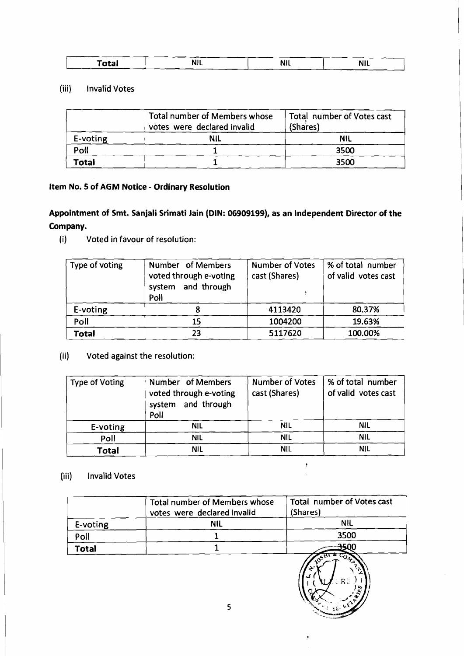| Total | .<br><b>NIL</b> | .<br>NIL | N<br> |
|-------|-----------------|----------|-------|
|       |                 |          |       |

#### (iii) Invalid Votes

| <b>Total</b>         | <b>NIL</b>                                | <b>NIL</b> | <b>NIL</b>                 |
|----------------------|-------------------------------------------|------------|----------------------------|
| <b>Invalid Votes</b> |                                           |            |                            |
| ii)                  | <b>Total number of Members whose</b>      |            | Total number of Votes cast |
|                      | votes were declared invalid<br><b>NIL</b> | (Shares)   | <b>NIL</b>                 |
| E-voting<br>Poll     | 1                                         |            | 3500                       |

# **Item No. 5 of AGM Notice** - **Ordinary Resolution**

# **Appointment of Smt. Sanjali Srimati lain (DIN: 06909199), as an Independent Director of the Company.**

(i) Voted in favour of resolution:

| Type of voting | Number of Members<br>voted through e-voting<br>system and through<br>Poll | <b>Number of Votes</b><br>cast (Shares) | % of total number<br>of valid votes cast |
|----------------|---------------------------------------------------------------------------|-----------------------------------------|------------------------------------------|
| E-voting       |                                                                           | 4113420                                 | 80.37%                                   |
| Poll           | 15                                                                        | 1004200                                 | 19.63%                                   |
| Total          | 23                                                                        | 5117620                                 | 100.00%                                  |

# (ii) Voted against the resolution:

| <b>Type of Voting</b> | Number of Members<br>voted through e-voting<br>and through<br>system<br>Poll | <b>Number of Votes</b><br>cast (Shares) | % of total number<br>of valid votes cast |
|-----------------------|------------------------------------------------------------------------------|-----------------------------------------|------------------------------------------|
| E-voting              | <b>NIL</b>                                                                   | <b>NIL</b>                              | <b>NIL</b>                               |
| Poll                  | <b>NIL</b>                                                                   | <b>NIL</b>                              | <b>NIL</b>                               |
| <b>Total</b>          | <b>NIL</b>                                                                   | <b>NIL</b>                              | NIL                                      |

 $\sigma_{\rm c}$  $\mathcal{L}$ 

 $\bar{y}$ 

# (iii) Invalid Votes

|              | <b>Total number of Members whose</b><br>votes were declared invalid | Total number of Votes cast<br>(Shares)                       |
|--------------|---------------------------------------------------------------------|--------------------------------------------------------------|
| E-voting     | <b>NIL</b>                                                          | <b>NIL</b>                                                   |
| Poll         |                                                                     | 3500                                                         |
| <b>Total</b> |                                                                     | ട∩∩                                                          |
|              | 5.                                                                  | COMPL<br>$\sim$ $\epsilon_{\rm H}$<br>المد<br>$\in$ RE<br>وت |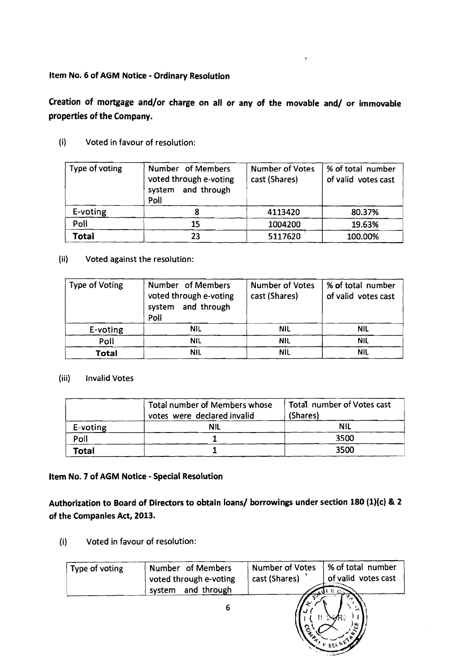## ltem No. 6 of AGM Notice - Ordinary Resolution

# Creation of mortgage and/or charge on all or any of the movable and/ or immovable properties of the Company.

(i) Voted in favour of resolution:

| Type of voting | Number of Members<br>voted through e-voting<br>system and through<br>Poll | <b>Number of Votes</b><br>cast (Shares) | % of total number<br>of valid votes cast |
|----------------|---------------------------------------------------------------------------|-----------------------------------------|------------------------------------------|
| E-voting       |                                                                           | 4113420                                 | 80.37%                                   |
| Poll           | 15                                                                        | 1004200                                 | 19.63%                                   |
| Total          | 23                                                                        | 5117620                                 | 100.00%                                  |

#### (ii) Voted against the resolution:

| <b>Type of Voting</b> | Number of Members<br>voted through e-voting<br>and through<br>system<br>Poll | <b>Number of Votes</b><br>cast (Shares) | % of total number<br>of valid votes cast |
|-----------------------|------------------------------------------------------------------------------|-----------------------------------------|------------------------------------------|
| E-voting              | <b>NIL</b>                                                                   | <b>NIL</b>                              | <b>NIL</b>                               |
| Poll                  | <b>NIL</b>                                                                   | <b>NIL</b>                              | <b>NIL</b>                               |
| <b>Total</b>          | <b>NIL</b>                                                                   | <b>NIL</b>                              | <b>NIL</b>                               |

#### (iii) Invalid Votes

|          | Total number of Members whose<br>votes were declared invalid | Total number of Votes cast<br>(Shares) |
|----------|--------------------------------------------------------------|----------------------------------------|
| E-voting | ΝIL                                                          | NIL                                    |
| Poll     |                                                              | 3500                                   |
| Total    |                                                              | 3500                                   |

#### ltem No. 7 of AGM Notice - Special Resolution

Authorization to Board of Directors to obtain loans/ borrowings under section 180 (1)(c) & 2 of the Companies Act, 2013.

**(i)** Voted in favour of resolution:

| Type of voting | Number of Members<br>voted through e-voting<br>system and through | <b>Number of Votes</b><br>cast (Shares) | % of total number<br>of valid votes cast |
|----------------|-------------------------------------------------------------------|-----------------------------------------|------------------------------------------|
|                | 6                                                                 | ъ.                                      | $V$ seck).                               |